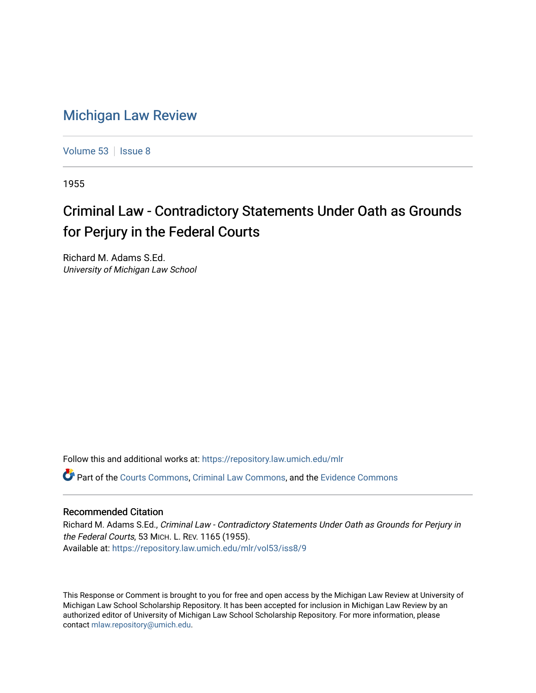## [Michigan Law Review](https://repository.law.umich.edu/mlr)

[Volume 53](https://repository.law.umich.edu/mlr/vol53) | [Issue 8](https://repository.law.umich.edu/mlr/vol53/iss8)

1955

# Criminal Law - Contradictory Statements Under Oath as Grounds for Perjury in the Federal Courts

Richard M. Adams S.Ed. University of Michigan Law School

Follow this and additional works at: [https://repository.law.umich.edu/mlr](https://repository.law.umich.edu/mlr?utm_source=repository.law.umich.edu%2Fmlr%2Fvol53%2Fiss8%2F9&utm_medium=PDF&utm_campaign=PDFCoverPages) 

Part of the [Courts Commons,](http://network.bepress.com/hgg/discipline/839?utm_source=repository.law.umich.edu%2Fmlr%2Fvol53%2Fiss8%2F9&utm_medium=PDF&utm_campaign=PDFCoverPages) [Criminal Law Commons](http://network.bepress.com/hgg/discipline/912?utm_source=repository.law.umich.edu%2Fmlr%2Fvol53%2Fiss8%2F9&utm_medium=PDF&utm_campaign=PDFCoverPages), and the [Evidence Commons](http://network.bepress.com/hgg/discipline/601?utm_source=repository.law.umich.edu%2Fmlr%2Fvol53%2Fiss8%2F9&utm_medium=PDF&utm_campaign=PDFCoverPages) 

## Recommended Citation

Richard M. Adams S.Ed., Criminal Law - Contradictory Statements Under Oath as Grounds for Perjury in the Federal Courts, 53 MICH. L. REV. 1165 (1955). Available at: [https://repository.law.umich.edu/mlr/vol53/iss8/9](https://repository.law.umich.edu/mlr/vol53/iss8/9?utm_source=repository.law.umich.edu%2Fmlr%2Fvol53%2Fiss8%2F9&utm_medium=PDF&utm_campaign=PDFCoverPages)

This Response or Comment is brought to you for free and open access by the Michigan Law Review at University of Michigan Law School Scholarship Repository. It has been accepted for inclusion in Michigan Law Review by an authorized editor of University of Michigan Law School Scholarship Repository. For more information, please contact [mlaw.repository@umich.edu](mailto:mlaw.repository@umich.edu).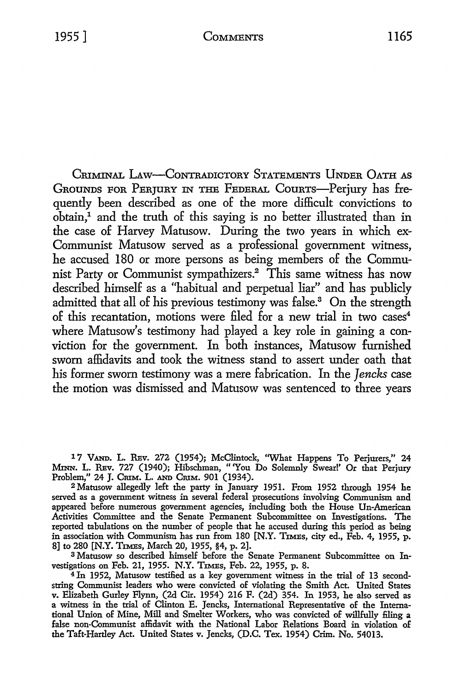CRIMINAL LAw-CoNTRADICTORY STATEMENTS UNDER OATH AS GROUNDS FOR PERJURY IN THE FEDERAL COURTS-Perjury has frequently been described as one of the more difficult convictions to obtain,1 and the truth of this saying is no better illustrated than in the case of Harvey Matusow. During the two years in which ex-Communist Matusow served as a professional government witness, he accused 180 or more persons as being members of the Communist Party or Communist sympathizers.2 This same witness has now described himself as a "habitual and perpetual liar" and has publicly admitted that all of his previous testimony was false.<sup>3</sup> On the strength of this recantation, motions were filed for a new trial in two cases<sup>4</sup> where Matusow's testimony had played a key role in gaining a conviction for the government. In both instances, Matusow furnished sworn affidavits and took the witness stand to assert under oath that his former sworn testimony was a mere fabrication. In the *Jencks* case the motion was dismissed and Matusow was sentenced to three years

1 7 V.AND. L. RBv. 272 (1954); McClintock, "What Happens To Perjurers," 24 MINN. L. RBv. 727 (1940); Hibschman, "'You Do Solemnly Swear!' Or that Perjury Problem," 24 J. Crim. L. AND Crim. 901 (1934).

<sup>2</sup>Matusow allegedly left the party in January 1951. From 1952 through 1954 he served as a government witness in several federal prosecutions involving Communism and appeared before numerous government agencies, including both the House Un-American Activities Committee and the Senate Permanent Subcommittee on Investigations. The reported tabulations on the number of people that he accused during this period as being in association with Communism has run from 180 [N.Y. TIMEs, city ed., Feb. 4, 1955, p. 8] to 280 [N.Y. TIMES, March 20, 1955, §4, p. 2].

3 Matusow so described himself before the Senate Permanent Subcommittee on Investigations on Feb. 21, 1955. N.Y. TIMEs, Feb. 22, 1955, p. 8.

4 In 1952, Matusow testified as a key government witness in the trial of 13 secondstring Communist leaders who were convicted of violating the Smith Act. United States v. Elizabeth Gurley Flynn, (2d Cir. 1954) 216 F. (2d) 354. In 1953, he also served as a witness in the trial of Clinton E. Jencks, International Representative of the International Union of Mine, Mill and Smelter Workers, who was convicted of willfully filing a false non-Communist affidavit with the National Labor Relations Board in violation of the Taft-Hartley Act. United States v. Jencks, (D.C. Tex. 1954) Crim. No. 54013.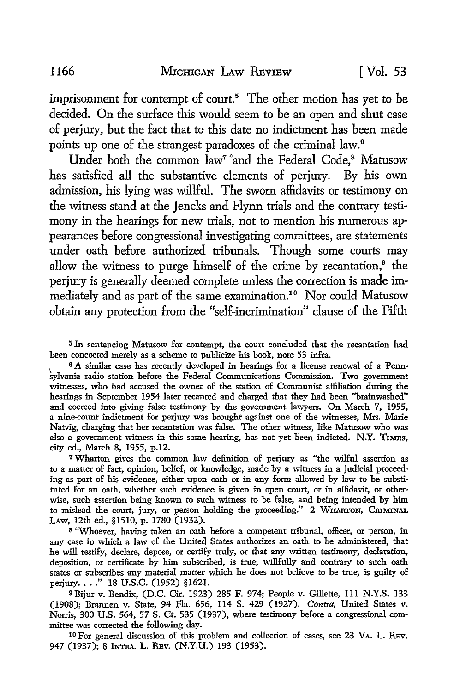imprisonment for contempt of court.<sup>5</sup> The other motion has yet to be decided. On the surface this would seem to be an open and shut case of perjury, but the fact that to this date no indictment has been made points up one of the strangest paradoxes of the criminal law.<sup>6</sup>

Under both the common law<sup>7</sup> and the Federal Code,<sup>8</sup> Matusow has satisfied all the substantive elements of perjury. By his own admission, his lying was willful. The sworn affidavits or testimony on the witness stand at the Jencks and Flynn trials and the contrary testimony in the hearings for new trials, not to mention his numerous appearances before congressional investigating committees, are statements under oath before authorized tribunals. Though some courts may allow the witness to purge himself of the crime by recantation, $9$  the perjury is generally deemed complete unless the correction is made immediately and as part of the same examination.10 Nor could Matusow obtain any protection from the "self-incrimination" clause of the Fifth

<sup>5</sup>In sentencing Matusow for contempt, the court concluded that the recantation had been concocted merely as a scheme to publicize his book, note 53 infra.

1 6 A similar case has recently developed in hearings for a license renewal of a Pennsylvania radio station before the Federal Communications Commission. Two government witnesses, who had accused the owner of the station of Communist affiliation during the hearings in September 1954 later recanted and charged that they had been "brainwashed" and coerced into giving false testimony by the government lawyers. On March 7, 1955, a nine-count indictment for perjury was brought against one of the witnesses, Mrs. Marie Natvig, charging that her recantation was false. The other witness, like Matusow who was also a government witness in this same hearing, has not yet been indicted. N.Y. TIMES, city ed., March 8, 1955, p.12.

<sup>7</sup>Wharton gives the common law definition of perjury as "the wilful assertion as to a matter of fact, opinion, belief, or knowledge, made by a witness in a judicial proceeding as part of his evidence, either upon oath or in any form allowed by law to be substituted for an oath, whether such evidence is given in open court, or in affidavit, or otherwise, such assertion being known to such witness to be false, and being intended by him to mislead the court, jury, or person holding the proceeding." 2 WHARTON, CRIMINAL LAw, 12th ed., §1510, p. 1780 (1932).

<sup>8</sup>"Whoever, having taken an oath before a competent tribunal, officer, or person, in any case in which a law of the United States authorizes an oath to be administered, that he will testify, declare, depose, or certify truly, or that any written testimony, declaration, deposition, or certificate by him subscribed, is true, willfully and contrary to such oath states or subscribes any material matter which he does not believe to be true, is guilty of perjury...." 18 U.S.C. (1952) §1621.

9Bijur v. Bendix, (D.C. Cir. 1923) 285 F. 974; People v. Gillette, 111 N.Y.S. 133 (1908); Brannen v. State, 94 Fla. 656, 114 S. 429 (1927). *Contra,* United States v. Norris, 300 U.S. 564, 57 S. Ct. 535 (1937), where testimony before a congressional committee was corrected the following day.

<sup>10</sup> For general discussion of this problem and collection of cases, see 23 VA. L. REv. 947 (1937); 8 INTRA. L. REV. (N.Y.U.) 193 (1953).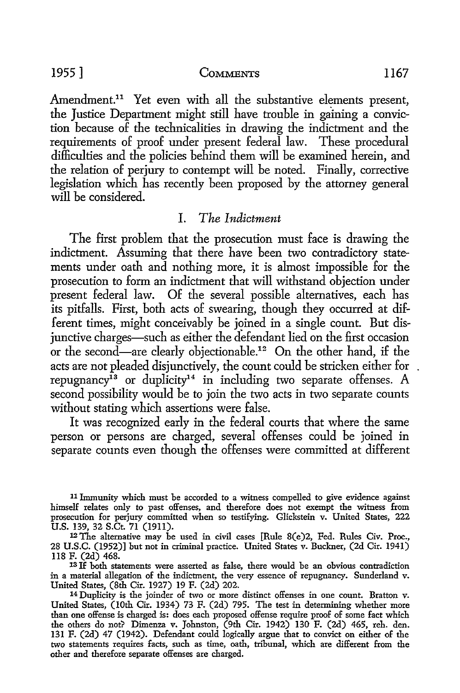Amendment.<sup>11</sup> Yet even with all the substantive elements present, the Justice Department might still have trouble in gaining a conviction because of the technicalities in drawing the indictment and the requirements of proof under present federal law. These procedural difficulties and the policies behind them will be examined herein, and the relation of perjury to contempt will be noted. Finally, corrective legislation which has recently been proposed by the attorney general will be considered.

### I. *The Indictment*

The first problem that the prosecution must face is drawing the indictment. Assuming that there have been two contradictory statements under oath and nothing more, it is almost impossible for the prosecution to form an indictment that will withstand objection under present federal law. Of the several possible alternatives, each has its pitfalls. First, both acts of swearing, though they occurred at different times, might conceivably be joined in a single count. But disjunctive charges-such as either the defendant lied on the first occasion or the second-are clearly objectionable.12 On the other hand, if the acts are not pleaded disjunctively, the count could be stricken either for repugnancy<sup>13</sup> or duplicity<sup>14</sup> in including two separate offenses. A second possibility would be to join the two acts in two separate counts without stating which assertions were false.

It was recognized early in the federal courts that where the same person or persons are charged, several offenses could be joined in separate counts even though the offenses were committed at different

13 If both statements were asserted as false, there would be an obvious contradiction in a material allegation of the indictment, the very essence of repugnancy. Sunderland v. United States, (8th Cir. 1927) 19 F. (2d) 202.

<sup>11</sup> Immunity which must be accorded to a witness compelled to give evidence against himself relates only to past offenses, and therefore does not exempt the witness from prosecution for perjury committed when so testifying. Glickstein v. United States, 222 U.S. 139, 32 S.Ct. 71 (1911).

<sup>12</sup>The alternative may be used in civil cases [Rule 8(e)2, Fed. Rules Civ. Proc., 28 U.S.C. (1952)] but not in criminal practice. United States v. Buckner, (2d Cir. 1941) 118 F. (2d) 468.

<sup>14</sup> Duplicity is the joinder of two or more distinct offenses in one count. Bratton v. United States, (10th Cir. 1934) 73 F. (2d) 795. The test in determining whether more than one offense is charged is: does each proposed offense require proof of some fact which the others do not? Dimenza v. Johnston, (9th Cir. 1942) 130 F. (2d) 465, reh. den. 131 F. (2d) 47 (1942). Defendant could logically argne that to convict on either of the two statements requires facts, such as time, oath, tribunal, which are different from the other and therefore separate offenses are charged.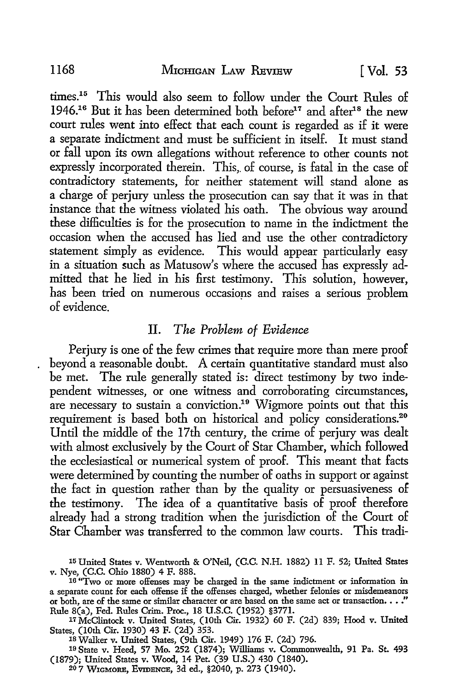times.15 This would also seem to follow under the Court Rules of 1946.<sup>16</sup> But it has been determined both before<sup>17</sup> and after<sup>18</sup> the new court rules went into effect that each count is regarded as if it were a separate indictment and must be sufficient in itself. It must stand or fall upon its own allegations without reference to other counts not expressly incorporated therein. This, of course, is fatal in the case of contradictory statements, for neither statement will stand alone as a charge of perjury unless the prosecution can say that it was in that instance that the witness violated his oath. The obvious way around these difficulties is for the prosecution to name in the indictment the occasion when the accused has lied and use the other contradictory statement simply as evidence. This would appear particularly easy in a situation such as Matusow's where the accused has expressly admitted that he lied in his first testimony. This solution, however, has been tried on numerous occasions and raises a serious problem of evidence.

## II. *The Problem of Evidence*

Perjury is one of the few crimes that require more than mere proof beyond a reasonable doubt. A certain quantitative standard must also be met. The rule generally stated is: direct testimony by two independent witnesses, or one witness and corroborating circumstances, are necessary to sustain a conviction.<sup>19</sup> Wigmore points out that this requirement is based both on historical and policy considerations.<sup>20</sup> Until the middle of the 17th century, the crime of perjury was dealt with almost exclusively by the Court of Star Chamber, which followed the ecclesiastical or numerical system of proof. This meant that facts were determined by counting the number of oaths in support or against the fact in question rather than by the quality or persuasiveness of the testimony. The idea of a quantitative basis of proof therefore already had a strong tradition when the jurisdiction of the Court of Star Chamber was transferred to the common law courts. This tradi-

lBWalker v. United States, (9th Cir. 1949) 176 F. (2d) 796.

19 State v. Heed, 57 Mo. 252 (1874); Williams v. Commonwealth, 91 Pa. St. 493 (1879); United States v. Wood, 14 Pet. (39 U.S.) 430 (1840).

20 7 WIGMORE, EvmBNcB, 3d ed., §2040, p. 273 (1940).

<sup>15</sup> United States v. Wentworth & O'Neil, (C.C. N.H. 1882) 11 F. 52; United States v. Nye, (C.C. Ohio 1880) 4 F. 888. 16 "Two or more offenses may be charged in the same indictment or information in

a separate count for each offense if the offenses charged, whether felonies or misdemeanors or both, are of the same or similar character or are based on the same act or transaction. . . ." Rule 8(a), Fed. Rules Crim. Proc., 18 U.S.C. (1952) §3771.

<sup>17</sup> McClintock v. United States, (10th Cir. 1932) 60 F. (2d) 839; Hood v. United States, (10th Cir. 1930) 43 F. (2d) 353.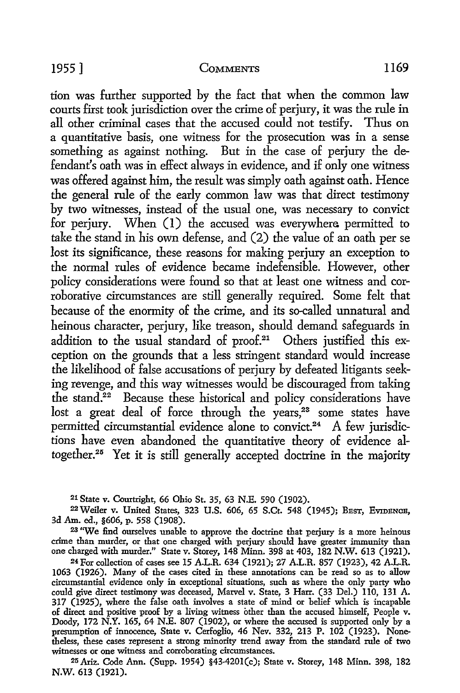tion was further supported by the fact that when the common law courts first took jurisdiction over the crime of perjury, it was the rule in all other criminal cases that the accused could not testify. Thus on a quantitative basis, one witness for the prosecution was in a sense something as against nothing. But in the case of perjury the defendant's oath was in effect always in evidence, and if only one witness was offered against him, the result was simply oath against oath. Hence the general rule of the early common law was that direct testimony by two witnesses, instead of the usual one, was necessary *to* convict for perjury. When (1) the accused was everywhere permitted to take the stand in his own defense, and (2) the value of an oath per se lost its significance, these reasons for making perjury an exception *to*  the normal rules of evidence became indefensible. However, other policy considerations were found so that at least one witness and corroborative circumstances are still generally required. Some felt that because of the enormity of the crime, and its so-called unnatural and heinous character, perjury, like treason, should demand safeguards in addition to the usual standard of proof.<sup>21</sup> Others justified this exception on the grounds that a less stringent standard would increase the likelihood of false accusations of perjury by defeated litigants seeking revenge, and this way witnesses would be discouraged from taking the stand.22 Because these historical and policy considerations have lost a great deal of force through the years, $2^3$  some states have permitted circumstantial evidence alone to convict.<sup>24</sup> A few jurisdictions have even abandoned the quantitative theory of evidence altogether.25 Yet it is still generally accepted doctrine in the majority

21 State v. Courtright, 66 Ohio St. 35, 63 N.E. 590 (1902).

<sup>22</sup> Weiler v. United States, 323 U.S. 606, 65 S.Ct. 548 (1945); BEsT, EVIDENCE, 3d Am. ed., §606, p. 558 (1908).

<sup>23</sup> "We find ourselves unable to approve the doctrine that perjury is a more heinous crime than murder, or that one charged with perjury should have greater immunity than one charged with murder." State v. Storey, 148 Minn. 398 at 403, 182 N.W. 613 (1921).

24 For collection of cases see 15 A.L.R. 634 (1921); 27 A.L.R. 857 (1923), 42 A.L.R. 1063 (1926). Many of the cases cited in these annotations can be read so as to allow circumstantial evidence only in exceptional situations, such as where the only party who could give direct testimony was deceased, Marvel v. State, 3 Harr. (33 Del.) 110, 131 A. 317 (1925), where the false oath involves a state of mind or belief which is incapable of direct and positive proof by a living witness other than the accused himself, People v. Doody, 172 N.Y. 165, 64 N.E. 807 (1902), or where the accused is supported only by a presumption of innocence, State v. Cerfoglio, 46 Nev. 332, 213 P. 102 (1923). Nonetheless, these cases represent a strong minority trend away from the standard rule of two witnesses or one witness and corroborating circumstances.

25 Ariz. Code Ann. (Supp. 1954) §43-420l(c); State v. Storey, 148 Minn. 398, 182 N.W. 613 (1921).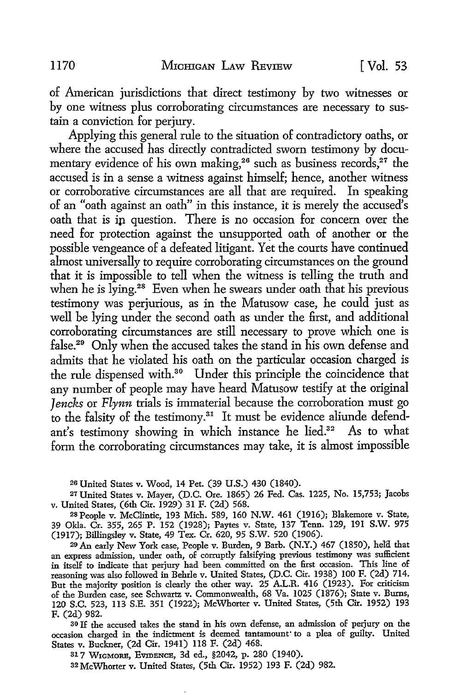of American jurisdictions that direct testimony by two witnesses or by one witness plus corroborating circumstances are necessary to sustain a conviction for perjury.

Applying this general rule to the situation of contradictory oaths, or where the accused has directly contradicted sworn testimony by documentary evidence of his own making,<sup>26</sup> such as business records,<sup>27</sup> the accused is in a sense a witness against himself; hence, another witness or corroborative circumstances are all that are required. In speaking of an "oath against an oath" in this instance, it is merely the accused's oath that is ip question. There is no occasion for concern over the need for protection against the unsupported oath of another or the possible vengeance of a defeated litigant. Yet the courts have continued almost universally to require corroborating circumstances on the ground that it is impossible to tell when the witness is telling the truth and when he is lying.<sup>28</sup> Even when he swears under oath that his previous testimony was perjurious, as in the Matusow case, he could just as well be lying under the second oath as under the first, and additional corroborating circumstances are still necessary to prove which one is false.29 Only when the accused takes the stand in his own defense and admits that he violated his oath on the particular occasion charged is the rule dispensed with.<sup>30</sup> Under this principle the coincidence that any number of people may have heard Matusow testify at the original *Jencks* or *Flynn* trials is immaterial because the corroboration must go to the falsity of the testimony.<sup>31</sup> It must be evidence aliunde defendant's testimony showing in which instance he lied.<sup>32</sup> As to what form the corroborating circumstances may take, it is almost impossible

2s United States v. Wood, 14 Pet. (39 **U.S.)** 430 (1840).

27 United States v. Mayer, (D.C. Ore. 1865) 26 Fed. Cas. 1225, No. 15,753; Jacobs v. United States, (6th Cir. 1929) 31 F. (2d) 568.

28 People v. McClintic, 193 Mich. 589, 160 N.W. 461 (1916); Blakemore v. State, 39 Okla. Cr. 355, 265 P. 152 (1928); Paytes v. State, 137 Tenn. 129, 191 S.W. 975 (1917); Billingsley v. State, 49 Tex. Cr. 620, 95 S.W. 520 (1906).

29 An early New York case, People v. Burden, 9 Barb. (N.Y.) 467 (1850), hela that an express admission, under oath, of corruptly falsifying previous testimony was sufficient in itself to indicate that perjury had been committed on the first occasion. This line of reasoning was also followed in Behrle v. United States, (D.C. Cir. 1938) 100 F. (2d) 714. But the majority position is clearly the other way. 25 A.L.R. 416 (1923). For criticism of the Burden case, see Schwartz v. Commonwealth, 68 Va. 1025 (1876); State v. Burns, 120 S.C. 523, 113 S.E. 351 (1922); McWhorter v. United States, (5th Cir. 1952) 193 F. (2d) 982.

30 If the accused takes the stand in his own defense, an admission of perjury on the occasion charged in the indictment is deemed tantamount' to a plea of guilty. United States v. Buckner, (2d Cir. 1941) 118 F. (2d) 468.

31 7 WIGMORB, EVIDENCE, 3d ed., §2042, p. 280 (1940). 32 McWhorter v. United States, (5th Cir. 1952) 193 F. (2d) 982.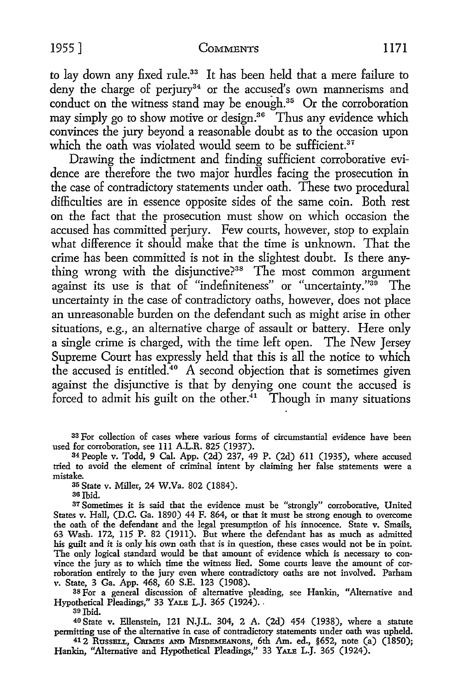to lay down any fixed rule.<sup>33</sup> It has been held that a mere failure to deny the charge of perjury<sup>34</sup> or the accused's own mannerisms and conduct on the witness stand may be enough.<sup>35</sup> Or the corroboration may simply go to show motive or design.<sup>36</sup> Thus any evidence which convinces the jury beyond a reasonable doubt as to the occasion upon which the oath was violated would seem to be sufficient.<sup>37</sup>

Drawing the indictment and finding sufficient corroborative evidence are therefore the two major hurdles facing the prosecution in the case of contradictory statements under oath. These two procedural difficulties are in essence opposite sides of the same coin. Both rest on the fact that the prosecution must show on which occasion the accused has committed perjury. Few courts, however, stop to explain what difference it should make that the time is unknown. That the crime has been committed is not in the slightest doubt. Is there anything wrong with the disjunctive?<sup>38</sup> The most common argument against its use is that of "indefiniteness" or "uncertainty."<sup>35</sup> The uncertainty in the case of contradictory oaths, however, does not place an unreasonable burden on the defendant such as might arise in other situations, e.g., an alternative charge of assault or battery. Here only a single crime is charged, with the time left open. The New Jersey Supreme Court has expressly held that this is all the notice to which the accused is entitled.<sup>40</sup> A second objection that is sometimes given against the disjunctive is that by denying one count the accused is forced to admit his guilt on the other.<sup>41</sup> Though in many situations

33 For collection of cases where various forms of circumstantial evidence have been used for corroboration, see 111 A.L.R. 825 (1937).

<sup>34</sup>People v. Todd, 9 Cal. App. (2d) 237, 49 P. (2d) 611 (1935), where accused tried to avoid the element of criminal intent by claiming her false statements were a mistake.

35 State v. Miller, 24 W.Va. 802 (1884).

36 Ibid.

37 Sometimes it is said that the evidence must be "strongly" corroborative, United States v. Hall, (D.C. Ga. 1890) 44 F. 864, or that it must be strong enough to overcome the oath of the defendant and the legal presumption of his innocence. State v. Smails, 63 Wash. 172, 115 P. 82 (1911). But where the defendant has as much as admitted his guilt and it is only his own oath that is in question, these cases would not be in point. The only logical standard would be that amount of evidence which is necessary to convince the jury as to which time the witness lied. Some courts leave the amount of corroboration entirely to the jury even where contradictory oaths are not involved. Parham v. State, 3 Ga. App. 468, 60 S.E. 123 (1908).

38 For a general discussion of alternative pleading, see Hankin, "Alternative and Hypothetical Pleadings," 33 YALE L.J. 365 (1924).

39 Ibid.

40 State v. Ellenstein, 121 N.J.L. 304, 2 A. (2d) 454 (1938), where a statute permitting use of the alternative in case of contradictory statements under oath was upheld.

<sup>41</sup> 2 Russell, Crimes AND Misdemeanors, 6th Am. ed., §652, note (a) (1850); Hankin, "Alternative and Hypothetical Pleadings," 33 YALE L.J. 365 (1924).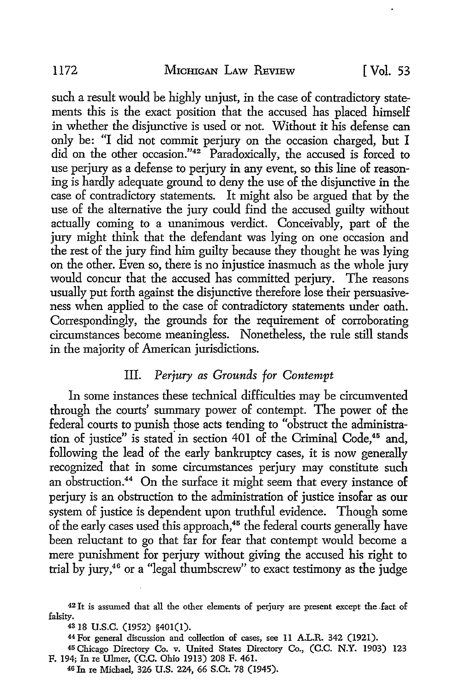such a result would be highly unjust, in the case of contradictory statements this is the exact position that the accused has placed himself in whether the disjunctive is used or not. Without it his defense can only be: "I did not commit perjury on the occasion charged, but I did on the other occasion."42 Paradoxically, the accused is forced to use perjury as a defense to perjury in any event, so this line of reasoning is hardly adequate ground to deny the use of the disjunctive in the case of contradictory statements. It might also be argued that by the use of the alternative the jury could find the accused guilty without actually coming to a unanimous verdict. Conceivably, part of the jury might think that the defendant was lying on one occasion and the rest of the jury find him guilty because they thought he was lying on the other. Even so, there is no injustice inasmuch as the whole jury would concur that the accused has committed perjury. The reasons usually put forth against the disjunctive therefore lose their persuasiveness when applied to the case of contradictory statements under oath. Correspondingly, the grounds for the requirement of corroborating circumstances become meaningless. Nonetheless, the rule still stands in the majority of American jurisdictions.

## III. *Perjury as Grounds for Contempt*

In some instances these technical difficulties may be circumvented through the courts' summary power of contempt. The power of the federal courts to punish those acts tending to "obstruct the administration of justice" is stated in section 401 of the Criminal Code,<sup>45</sup> and, following the lead of the early bankruptcy cases, it is now generally recognized that in some circumstances perjury may constitute such an obstruction.<sup>44</sup> On the surface it might seem that every instance of perjury is an obstruction to the administration of justice insofar as our system of justice is dependent upon truthful evidence. Though some of the early cases used this approach,<sup>45</sup> the federal courts generally have been reluctant to go that far for fear that contempt would become a mere punishment for perjury without giving the accused his right to trial by jury,46 or a "legal thumbscrew" to exact testimony as the judge

<sup>42</sup>It is assumed that all the other elements of perjury are present except the .fact of falsity.

<sup>43</sup>18 u.s.c. (1952) §401(1).

<sup>44</sup> For general discussion and collection of cases, see 11 A.L.R. 342 (1921).

<sup>45</sup> Chicago Directory Co. v. United States Directory Co., (C.C. N.Y. 1903) 123 F. 194; In re Uhner, (C.C. Ohio 1913) 208 F. 461.

<sup>46</sup> In re Michael, 326 U.S. 224, 66 S.Ct. 78 (1945).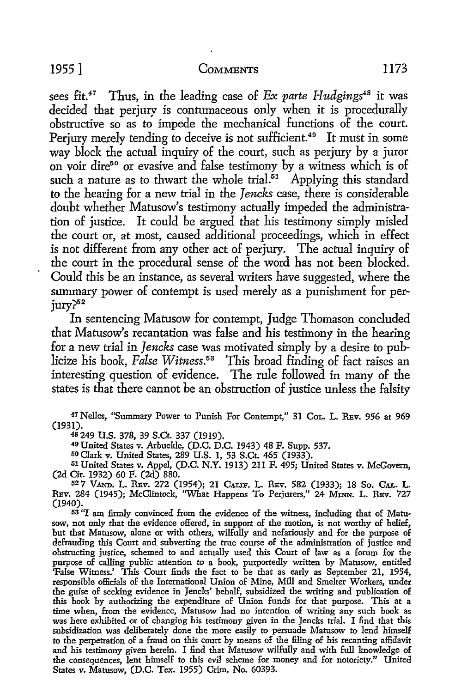sees fit.<sup>47</sup> Thus, in the leading case of *Ex parte Hudgings*<sup>48</sup> it was decided that perjury is contumaceous only when it is procedurally obstructive so as to impede the mechanical functions of the court. Perjury merely tending to deceive is not sufficient.<sup>49</sup> It must in some way block the actual inquiry of the court, such as perjury by a juror on voir dire50 or evasive and false testimony by a witness which is of such a nature as to thwart the whole trial.<sup>51</sup> Applying this standard to the hearing for a new trial in the *Jencks* case, there is considerable doubt whether Matusow's testimony actually impeded the administration of justice. It could be argued that his testimony simply misled the court or, at most, caused additional proceedings, which in effect is not different from any other act of perjury. The actual inquiry of the court in the procedural sense of the word has not been blocked. Could this be an instance, as several writers have suggested, where the summary power of contempt is used merely as a punishment for perjury?<sup>52</sup>

In sentencing Matusow for contempt, Judge Thomason concluded that Matusow's recantation was false and his testimony in the hearing for a new trial in *Jencks* case was motivated simply by a desire *to* publicize his book, *False Witness*.<sup>53</sup> This broad finding of fact raises an interesting question of evidence. The rule followed in many of the states is that there cannot be an obstruction of justice unless the falsity

<sup>47</sup>Nelles, "Summary Power to Punish For Contempt," 31 CoL. L. REv. 956 at 969 (1931).<br><sup>48</sup> 249 U.S. 378, 39 S.Ct. 337 (1919).

<sup>49</sup> United States v. Arbuckle, (D.C. D.C. 1943) 48 F. Supp. 537.<br><sup>50</sup> Clark v. United States, 289 U.S. 1, 53 S.Ct. 465 (1933).

51 United States v. Appel, (D.C. N.Y. 1913) 211 F. 495; United States v. McGovern, (2d Cir. 1932) 60 F. (2d) 880.

52 7 VAND. L. REv. 272 (1954); 21 CALIF. L. REv. 582 (1933); 18 So. CAL. L. REv. 284 (1945); McClintock, "What Happens To Perjurers," 24 MINN. L. REv. 727 (1940).

53 "I am firmly convinced from the evidence of the witness, including that of Matusow, not only that the evidence offered, in support of the motion, is not worthy of belief, but that Matusow, alone or with others, wilfully and nefariously and for the purpose of defrauding this Court and subverting the true course of the administration of justice and obstructing justice, schemed to and actually used this Court of law as a forum for the purpose of calling public attention to a book, purportedly written by Matusow, entitled 'False Witness.' This Court finds the fact to be that as early as September 21, 1954, responsible officials of the International Union of Mine, Mill and Smelter Workers, under the guise of seeking evidence in Jencks' behalf, subsidized the writing and publication of this book by authorizing the expenditure of Union funds for that purpose. This at a time when, from the evidence, Matusow had no intention of writing any such book as was here exhibited or of changing his testimony given in the Jencks trial. I find that this subsidization was deliberately done the more easily to persuade Matusow to lend himself to the perpetration of a fraud on this court by means of the filing of his recanting affidavit and his testimony given herein. I find that Matusow wilfully and with full knowledge of the consequences, lent himself to this evil scheme for money and for notoriety.'' United States v. Matusow, (D.C. Tex. 1955) Crim. No. 60393.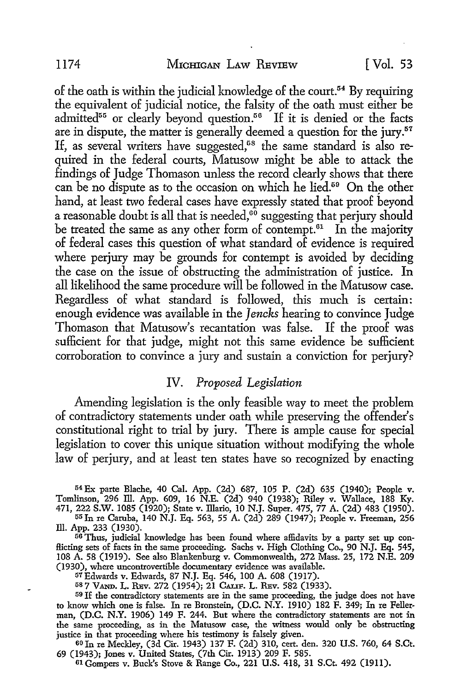of the oath is within the judicial knowledge of the court.<sup>54</sup> By requiring the equivalent of judicial notice, the falsity of the oath must either be admitted<sup>55</sup> or clearly beyond question.<sup>56</sup> If it is denied or the facts are in dispute, the matter is generally deemed a question for the jury.<sup>57</sup> If, as several writers have suggested,<sup>68</sup> the same standard is also required in the federal courts, Matusow might be able to attack the findings of Judge Thomason unless the record clearly shows that there can be no dispute as to the occasion on which he lied.<sup>59</sup> On the other hand, at least two federal cases have expressly stated that proof beyond a reasonable doubt is all that is needed, $60$  suggesting that perjury should be treated the same as any other form of contempt. $61$  In the majority of federal cases this question of what standard of evidence is required where perjury may be grounds for contempt is avoided by deciding the case on the issue of obstructing the administration of justice. In all likelihood the same procedure will be followed in the Matusow case. Regardless of what standard is followed, this much is certain: enough evidence was available in the *Jencks* hearing to convince Judge Thomason that Matusow's recantation was false. If the proof was sufficient for that judge, might not this same evidence be sufficient corroboration to convince a jury and sustain a conviction for perjury?

## IV. *Proposed Legislation*

Amending legislation is the only feasible way to meet the problem of contradictory statements under oath while preserving the offender's constitutional right to trial by jury. There is ample cause for special legislation to cover this unique situation without modifying the whole law of perjury, and at least ten states have so recognized by enacting

<sup>54</sup> Ex parte Blache, 40 Cal. App. (2d) 687, 105 P. (2d) 635 (1940); People v. Tomlinson, 296 ill. App. 609, 16 N.E. (2d) 940 (1938); Riley v. Wallace, 188 Ky. 471, 222 S.W. 1085 (1920); State v. Illario, 10 N.J. Super. 475, 77 A. (2d) 483 (1950).

<sup>5</sup><sup>5</sup>In re Caruba, 140 N.J. Eq. 563, 55 A. (2d) 289 (1947); People v. Freeman, 256 III. App. 233 (1930).

56 Thus, judicial knowledge has been found where affidavits by a party set up conflicting sets of facts in the same proceeding. Sachs v. High Clothing Co., 90 N.J. Eq. 545, 108 A. 58 (1919). See also Blankenburg v. Commonwealth, 272 Mass. 25, 172 N.E. 209 (1930), where uncontrovertible documentary evidence was available.

57Edwards v. Edwards, 87 N.J. Eq. 546, 100 A. 608 (1917).

587 VAND. L. REV. 272 (1954); 21 CALIF. L. REV. 582 (1933).

59 If the contradictory statements are in the same proceeding, the judge does not have to know which one is false. In re Bronstein, (D.C. N.Y. 1910) 182 F. 349; In re Fellerman, (D.C. N.Y. 1906) 149 F. 244. But where the contradictory statements are not in the same proceeding, as in the Matusow case, the witness would only be obstructing justice in that proceeding where his testimony is falsely given.

oo In re Meckley, (3d Cir. 1943) 137 F. (2d) 310, cert. den. 320 U.S. 760, 64 S.Ct. 69 (1943); Jones v. United States, (7th Cir. 1913) 209 F. 585. 01 Gompers v. Buck's Stove & Range Co., 221 U.S. 418, 31 S.Ct. 492 (1911).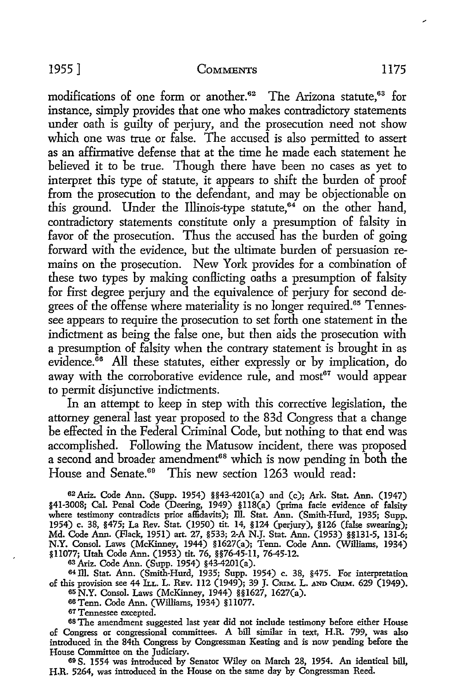modifications of one form or another.<sup>62</sup> The Arizona statute.<sup>63</sup> for instance, simply provides that one who makes contradictory statements under oath is guilty of perjury, and the prosecution need not show which one was true or false. The accused is also permitted to assert as an affirmative defense that at the time he made each statement he believed it to be true. Though there have been no cases as yet to interpret this type of statute, it appears to shift the burden of proof from the prosecution to the defendant, and may be objectionable on this ground. Under the Illinois-type statute, $64$  on the other hand, contradictory statements constitute only a presumption of falsity in favor of the prosecution. Thus the accused has the burden of going forward with the evidence, but the ultimate burden of persuasion remains on the prosecution. New York provides for a combination of these two types by making conflicting oaths a presumption of falsity for first degree perjury and the equivalence of perjury for second degrees of the offense where materiality is no longer required.<sup>65</sup> Tennessee appears to require the prosecution to set forth one statement in the indictment as being the false one, but then aids the prosecution with a presumption of falsity when the contrary statement is brought in as evidence. ${}^{66}$  All these statutes, either expressly or by implication, do away with the corroborative evidence rule, and most<sup>67</sup> would appear to permit disjunctive indictments.

In an attempt to keep in step with this corrective legislation, the attorney general last year proposed to the 83d Congress that a change be effected in the Federal Criminal Code, but nothing to that end was accomplished. Following the Matusow incident, there was proposed a second and broader amendment<sup>68</sup> which is now pending in both the House and Senate.<sup>69</sup> This new section 1263 would read:

62 Ariz. Code Ann. (Supp. 1954) §§43-4201(a) and (c); Ark. Stat. Ann. (1947) §41-3008; Cal. Penal Code (Deering, 1949) §118(a) (prima facie evidence of falsity where testimony contradicts prior affidavits); Ill. Stat. Ann. (Smith-Hurd, 1935; Supp. 1954) c. 38, §475; La Rev. Stat. (1950) tit. 14, §124 (perjury), §126 (false swearing); Md. Code Ann. (Flack, 1951) art. 27, §533; 2-A N.J. Stat. Ann. (1953) §§131-5, 131-6; N.Y. Consol. Laws (McKinney, 1944) §l627(a); Tenn. Code Ann. (Williams, 1934) §11077; Utah Code Ann. (1953) tit. 76, §§76-45-11, 76-45-12.

63 Ariz. Code Ann. (Supp. 1954) §43-4201(a).

64 ill. Stat. Ann. (Smith-Hurd, 1935; Supp. 1954) c. 38, §475. For interpretation of this provision see 44 ILL. L. REV. 112 (1949); 39 J. CRIM. L. AND CRIM. 629 (1949). 65 N.Y. Consol. Laws (McKinney, 1944) §§1627, 1627(a).

66Tenn. Code Ann. (Williams, 1934) §11077.

67 Tennessee excepted.

68 The amendment suggested last year did not include testimony before either House of Congress or congressional committees. A bill similar in text, H.R. 799, was also introduced in the 84th Congress by Congressman Keating and is now pending before the

69 S. 1554 was introduced by Senator Wiley on March 28, 1954. An identical bill, H.R. 5264, was introduced in the House on the same day by Congressman Reed.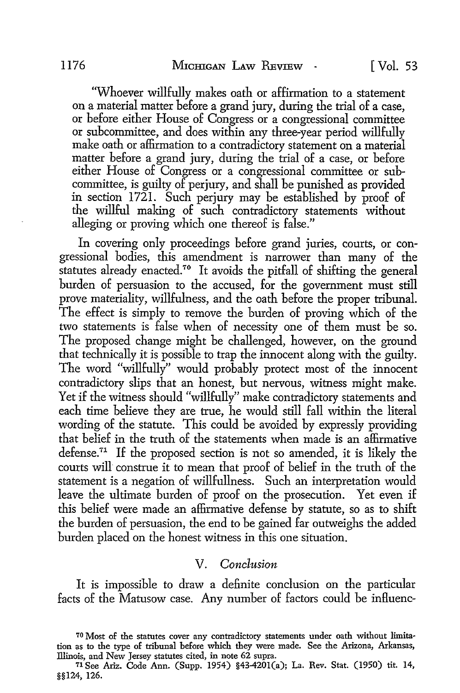'Whoever willfully makes oath or affirmation to a statement on a material matter before a grand jury, during the trial of a case, or before either House of Congress or a congressional committee or subcommittee, and does within any three-year period willfully make oath or affirmation to a contradictory statement on a material matter before a grand jury, during the trial of a case, or before either House of Congress or a congressional committee or subcommittee, is guilty of perjury, and shall be punished as provided in section 1721. Such perjury may be established by proof of the willful making of such contradictory statements without alleging or proving which one thereof is false."

In covering only proceedings before grand juries, courts, or congressional bodies, this amendment is narrower than many of the statutes already enacted.<sup>70</sup> It avoids the pitfall of shifting the general burden of persuasion to the accused, for the government must still prove materiality, willfulness, and the oath before the proper tribunal. The effect is simply to remove the burden of proving which of the two statements is false when of necessity one of them must be so. The proposed change might be challenged, however, on the ground that technically it is possible to trap the innocent along with the guilty. The word "willfully" would probably protect most of the innocent contradictory slips that an honest, but nervous, witness might make. Yet if the witness should "willfully" make contradictory statements and each time believe they are true, he would still fall within the literal wording of the statute. This could be avoided by expressly providing that belief in the truth of the statements when made is an affirmative defense.<sup>71</sup> If the proposed section is not so amended, it is likely the courts will construe it to mean that proof of belief in the truth of the statement is a negation of willfullness. Such an interpretation would leave the ultimate burden of proof on the prosecution. Yet even if this belief were made an affirmative defense by statute, so as to shift the burden of persuasion, the end to be gained far outweighs the added burden placed on the honest witness in this one situation.

## V. *Conclusion*

It is impossible to draw a definite conclusion on the particular facts of the Matusow case. Any number of factors could be influenc-

<sup>70</sup> Most of the statutes cover any contradictory statements under oath without limitation as to the type of tribunal before which they were made. See the Arizona, Arkansas, Illinois, and New Jersey statutes cited, in note 62 supra.

<sup>71</sup>See Ariz. Code Ann. (Supp. 1954) §43-4201(a); La. Rev. Stat. (1950) tit. 14, §§124, 126.